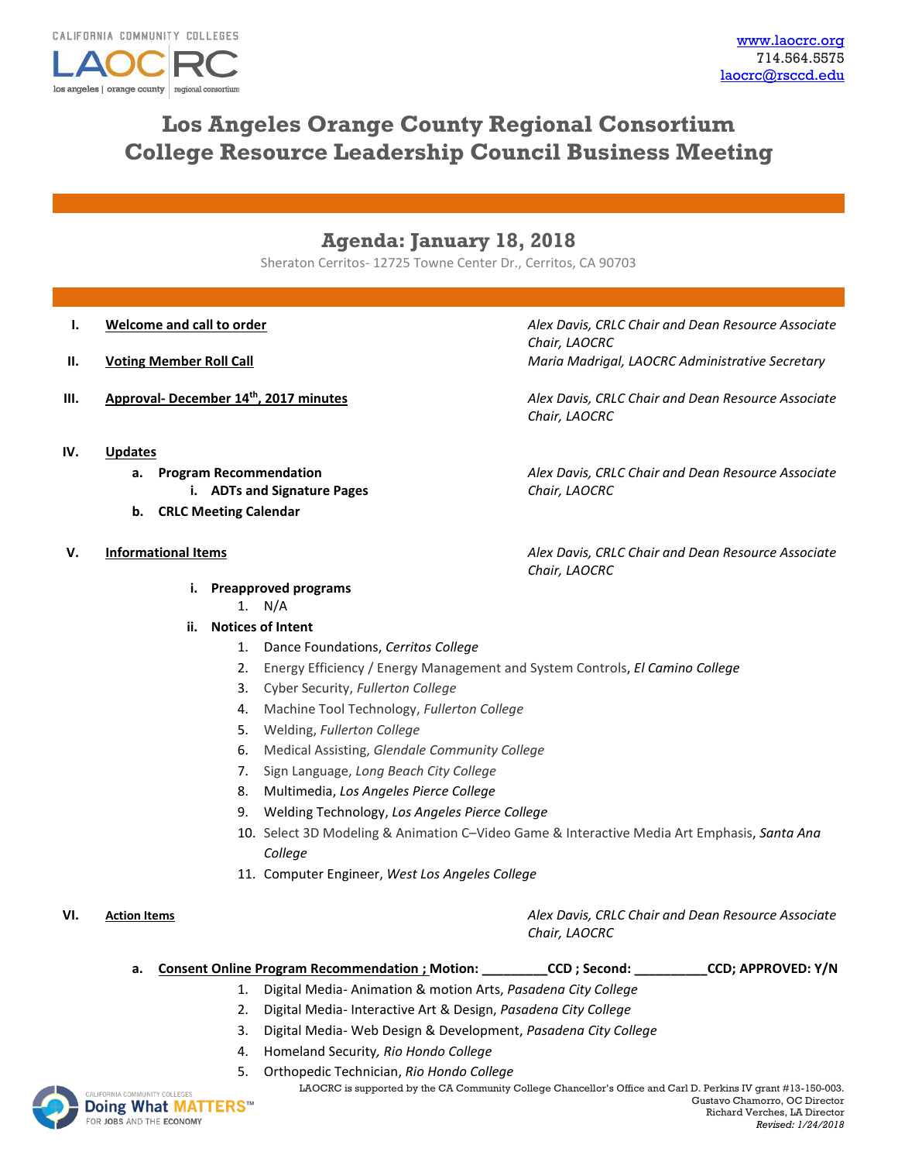

# **Los Angeles Orange County Regional Consortium College Resource Leadership Council Business Meeting**

## **Agenda: January 18, 2018**

Sheraton Cerritos- 12725 Towne Center Dr., Cerritos, CA 90703

- 
- 
- 
- **I. Welcome and call to order** *Alex Davis, CRLC Chair and Dean Resource Associate Chair, LAOCRC* **II. Voting Member Roll Call Maria Madrigal, LAOCRC Administrative Secretary**

**III. Approval- December 14th, 2017 minutes** *Alex Davis, CRLC Chair and Dean Resource Associate Chair, LAOCRC*

**IV. Updates**

- **a. Program Recommendation** *Alex Davis, CRLC Chair and Dean Resource Associate* 
	- **i. ADTs and Signature Pages** *Chair, LAOCRC*
- **b. CRLC Meeting Calendar**

- **i. Preapproved programs**
	- 1. N/A
- **ii. Notices of Intent**
	- 1. Dance Foundations, *Cerritos College*
	- 2. Energy Efficiency / Energy Management and System Controls, *El Camino College*
	- 3. Cyber Security, *Fullerton College*
	- 4. Machine Tool Technology, *Fullerton College*
	- 5. Welding, *Fullerton College*
	- 6. Medical Assisting, *Glendale Community College*
	- 7. Sign Language, *Long Beach City College*
	- 8. Multimedia, *Los Angeles Pierce College*
	- 9. Welding Technology, *Los Angeles Pierce College*
	- 10. Select 3D Modeling & Animation C–Video Game & Interactive Media Art Emphasis, *Santa Ana College*
	- 11. Computer Engineer, *West Los Angeles College*

**VI. Action Items** *Alex Davis, CRLC Chair and Dean Resource Associate Chair, LAOCRC*

**a. Consent Online Program Recommendation ; Motion: \_\_\_\_\_\_\_\_\_CCD ; Second: \_\_\_\_\_\_\_\_\_\_CCD; APPROVED: Y/N**

- 1. Digital Media- Animation & motion Arts, *Pasadena City College*
- 2. Digital Media- Interactive Art & Design, *Pasadena City College*
- 3. Digital Media- Web Design & Development, *Pasadena City College*
- 4. Homeland Security*, Rio Hondo College*
- 5. Orthopedic Technician, *Rio Hondo College*
- NIA COMMUNITY COLLEGES **Doing What MATTERS™** FOR JOBS AND THE ECONOMY

Gustavo Chamorro, OC Director Richard Verches, LA Director *Revised: 1/24/2018*

LAOCRC is supported by the CA Community College Chancellor's Office and Carl D. Perkins IV grant #13-150-003.

**V. Informational Items** *Alex Davis, CRLC Chair and Dean Resource Associate Chair, LAOCRC*